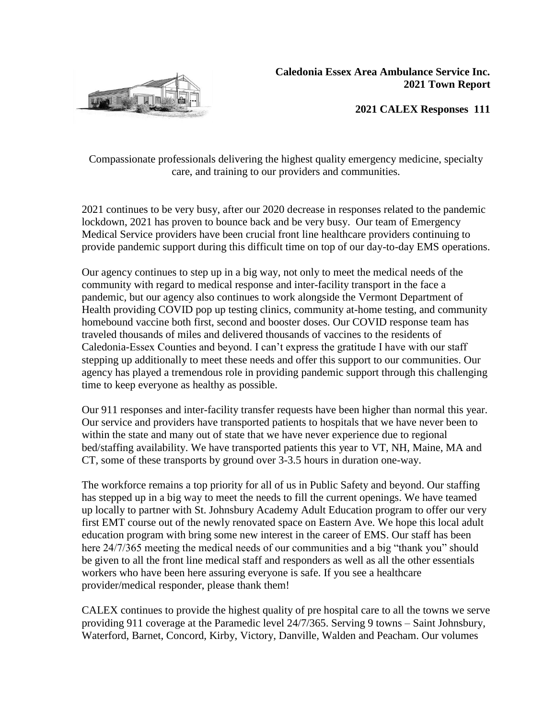

**2021 CALEX Responses 111**

Compassionate professionals delivering the highest quality emergency medicine, specialty care, and training to our providers and communities.

2021 continues to be very busy, after our 2020 decrease in responses related to the pandemic lockdown, 2021 has proven to bounce back and be very busy. Our team of Emergency Medical Service providers have been crucial front line healthcare providers continuing to provide pandemic support during this difficult time on top of our day-to-day EMS operations.

Our agency continues to step up in a big way, not only to meet the medical needs of the community with regard to medical response and inter-facility transport in the face a pandemic, but our agency also continues to work alongside the Vermont Department of Health providing COVID pop up testing clinics, community at-home testing, and community homebound vaccine both first, second and booster doses. Our COVID response team has traveled thousands of miles and delivered thousands of vaccines to the residents of Caledonia-Essex Counties and beyond. I can't express the gratitude I have with our staff stepping up additionally to meet these needs and offer this support to our communities. Our agency has played a tremendous role in providing pandemic support through this challenging time to keep everyone as healthy as possible.

Our 911 responses and inter-facility transfer requests have been higher than normal this year. Our service and providers have transported patients to hospitals that we have never been to within the state and many out of state that we have never experience due to regional bed/staffing availability. We have transported patients this year to VT, NH, Maine, MA and CT, some of these transports by ground over 3-3.5 hours in duration one-way.

The workforce remains a top priority for all of us in Public Safety and beyond. Our staffing has stepped up in a big way to meet the needs to fill the current openings. We have teamed up locally to partner with St. Johnsbury Academy Adult Education program to offer our very first EMT course out of the newly renovated space on Eastern Ave. We hope this local adult education program with bring some new interest in the career of EMS. Our staff has been here 24/7/365 meeting the medical needs of our communities and a big "thank you" should be given to all the front line medical staff and responders as well as all the other essentials workers who have been here assuring everyone is safe. If you see a healthcare provider/medical responder, please thank them!

CALEX continues to provide the highest quality of pre hospital care to all the towns we serve providing 911 coverage at the Paramedic level 24/7/365. Serving 9 towns – Saint Johnsbury, Waterford, Barnet, Concord, Kirby, Victory, Danville, Walden and Peacham. Our volumes